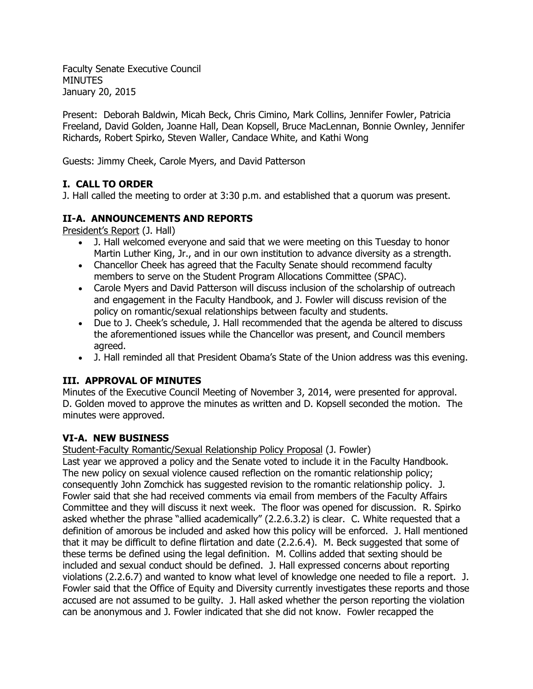Faculty Senate Executive Council **MINUTES** January 20, 2015

Present: Deborah Baldwin, Micah Beck, Chris Cimino, Mark Collins, Jennifer Fowler, Patricia Freeland, David Golden, Joanne Hall, Dean Kopsell, Bruce MacLennan, Bonnie Ownley, Jennifer Richards, Robert Spirko, Steven Waller, Candace White, and Kathi Wong

Guests: Jimmy Cheek, Carole Myers, and David Patterson

# **I. CALL TO ORDER**

J. Hall called the meeting to order at 3:30 p.m. and established that a quorum was present.

## **II-A. ANNOUNCEMENTS AND REPORTS**

President's Report (J. Hall)

- J. Hall welcomed everyone and said that we were meeting on this Tuesday to honor Martin Luther King, Jr., and in our own institution to advance diversity as a strength.
- Chancellor Cheek has agreed that the Faculty Senate should recommend faculty members to serve on the Student Program Allocations Committee (SPAC).
- Carole Myers and David Patterson will discuss inclusion of the scholarship of outreach and engagement in the Faculty Handbook, and J. Fowler will discuss revision of the policy on romantic/sexual relationships between faculty and students.
- Due to J. Cheek's schedule, J. Hall recommended that the agenda be altered to discuss the aforementioned issues while the Chancellor was present, and Council members agreed.
- J. Hall reminded all that President Obama's State of the Union address was this evening.

## **III. APPROVAL OF MINUTES**

Minutes of the Executive Council Meeting of November 3, 2014, were presented for approval. D. Golden moved to approve the minutes as written and D. Kopsell seconded the motion. The minutes were approved.

## **VI-A. NEW BUSINESS**

Student-Faculty Romantic/Sexual Relationship Policy Proposal (J. Fowler)

Last year we approved a policy and the Senate voted to include it in the Faculty Handbook. The new policy on sexual violence caused reflection on the romantic relationship policy; consequently John Zomchick has suggested revision to the romantic relationship policy. J. Fowler said that she had received comments via email from members of the Faculty Affairs Committee and they will discuss it next week. The floor was opened for discussion. R. Spirko asked whether the phrase "allied academically" (2.2.6.3.2) is clear. C. White requested that a definition of amorous be included and asked how this policy will be enforced. J. Hall mentioned that it may be difficult to define flirtation and date (2.2.6.4). M. Beck suggested that some of these terms be defined using the legal definition. M. Collins added that sexting should be included and sexual conduct should be defined. J. Hall expressed concerns about reporting violations (2.2.6.7) and wanted to know what level of knowledge one needed to file a report. J. Fowler said that the Office of Equity and Diversity currently investigates these reports and those accused are not assumed to be guilty. J. Hall asked whether the person reporting the violation can be anonymous and J. Fowler indicated that she did not know. Fowler recapped the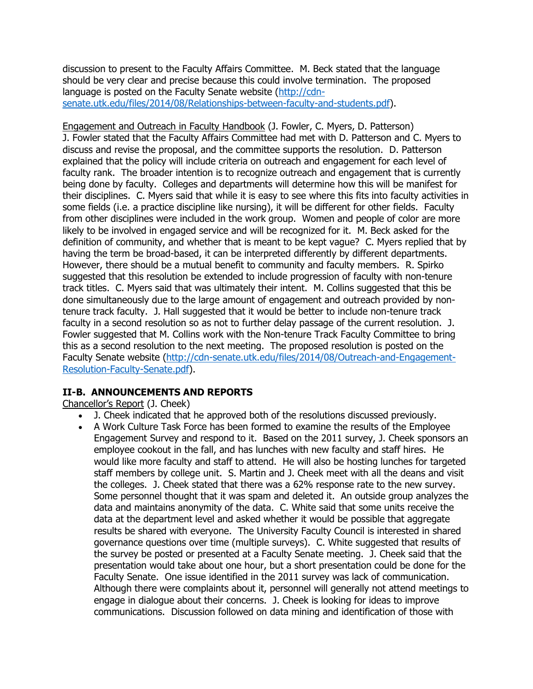discussion to present to the Faculty Affairs Committee. M. Beck stated that the language should be very clear and precise because this could involve termination. The proposed language is posted on the Faculty Senate website [\(http://cdn](http://cdn-senate.utk.edu/files/2014/08/Relationships-between-faculty-and-students.pdf)[senate.utk.edu/files/2014/08/Relationships-between-faculty-and-students.pdf\)](http://cdn-senate.utk.edu/files/2014/08/Relationships-between-faculty-and-students.pdf).

Engagement and Outreach in Faculty Handbook (J. Fowler, C. Myers, D. Patterson) J. Fowler stated that the Faculty Affairs Committee had met with D. Patterson and C. Myers to discuss and revise the proposal, and the committee supports the resolution. D. Patterson explained that the policy will include criteria on outreach and engagement for each level of faculty rank. The broader intention is to recognize outreach and engagement that is currently being done by faculty. Colleges and departments will determine how this will be manifest for their disciplines. C. Myers said that while it is easy to see where this fits into faculty activities in some fields (i.e. a practice discipline like nursing), it will be different for other fields. Faculty from other disciplines were included in the work group. Women and people of color are more likely to be involved in engaged service and will be recognized for it. M. Beck asked for the definition of community, and whether that is meant to be kept vague? C. Myers replied that by having the term be broad-based, it can be interpreted differently by different departments. However, there should be a mutual benefit to community and faculty members. R. Spirko suggested that this resolution be extended to include progression of faculty with non-tenure track titles. C. Myers said that was ultimately their intent. M. Collins suggested that this be done simultaneously due to the large amount of engagement and outreach provided by nontenure track faculty. J. Hall suggested that it would be better to include non-tenure track faculty in a second resolution so as not to further delay passage of the current resolution. J. Fowler suggested that M. Collins work with the Non-tenure Track Faculty Committee to bring this as a second resolution to the next meeting. The proposed resolution is posted on the Faculty Senate website [\(http://cdn-senate.utk.edu/files/2014/08/Outreach-and-Engagement-](http://cdn-senate.utk.edu/files/2014/08/Outreach-and-Engagement-Resolution-Faculty-Senate.pdf)[Resolution-Faculty-Senate.pdf\)](http://cdn-senate.utk.edu/files/2014/08/Outreach-and-Engagement-Resolution-Faculty-Senate.pdf).

## **II-B. ANNOUNCEMENTS AND REPORTS**

Chancellor's Report (J. Cheek)

- J. Cheek indicated that he approved both of the resolutions discussed previously.
- A Work Culture Task Force has been formed to examine the results of the Employee Engagement Survey and respond to it. Based on the 2011 survey, J. Cheek sponsors an employee cookout in the fall, and has lunches with new faculty and staff hires. He would like more faculty and staff to attend. He will also be hosting lunches for targeted staff members by college unit. S. Martin and J. Cheek meet with all the deans and visit the colleges. J. Cheek stated that there was a 62% response rate to the new survey. Some personnel thought that it was spam and deleted it. An outside group analyzes the data and maintains anonymity of the data. C. White said that some units receive the data at the department level and asked whether it would be possible that aggregate results be shared with everyone. The University Faculty Council is interested in shared governance questions over time (multiple surveys). C. White suggested that results of the survey be posted or presented at a Faculty Senate meeting. J. Cheek said that the presentation would take about one hour, but a short presentation could be done for the Faculty Senate. One issue identified in the 2011 survey was lack of communication. Although there were complaints about it, personnel will generally not attend meetings to engage in dialogue about their concerns. J. Cheek is looking for ideas to improve communications. Discussion followed on data mining and identification of those with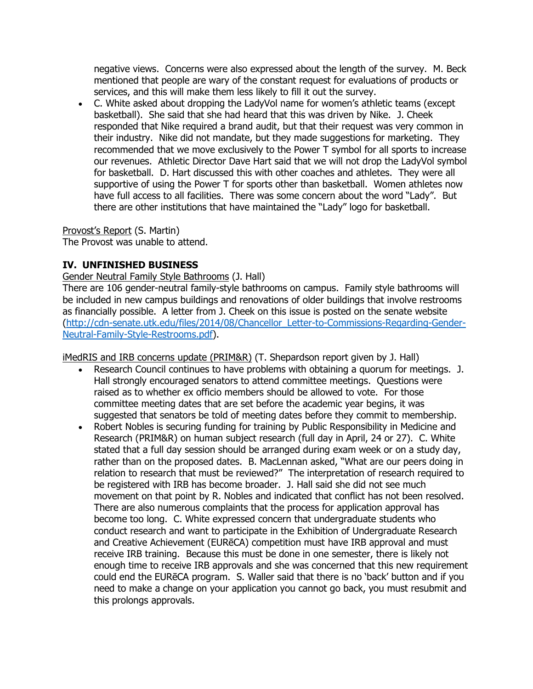negative views. Concerns were also expressed about the length of the survey. M. Beck mentioned that people are wary of the constant request for evaluations of products or services, and this will make them less likely to fill it out the survey.

 C. White asked about dropping the LadyVol name for women's athletic teams (except basketball). She said that she had heard that this was driven by Nike. J. Cheek responded that Nike required a brand audit, but that their request was very common in their industry. Nike did not mandate, but they made suggestions for marketing. They recommended that we move exclusively to the Power T symbol for all sports to increase our revenues. Athletic Director Dave Hart said that we will not drop the LadyVol symbol for basketball. D. Hart discussed this with other coaches and athletes. They were all supportive of using the Power T for sports other than basketball. Women athletes now have full access to all facilities. There was some concern about the word "Lady". But there are other institutions that have maintained the "Lady" logo for basketball.

Provost's Report (S. Martin)

The Provost was unable to attend.

## **IV. UNFINISHED BUSINESS**

Gender Neutral Family Style Bathrooms (J. Hall)

There are 106 gender-neutral family-style bathrooms on campus. Family style bathrooms will be included in new campus buildings and renovations of older buildings that involve restrooms as financially possible. A letter from J. Cheek on this issue is posted on the senate website [\(http://cdn-senate.utk.edu/files/2014/08/Chancellor\\_Letter-to-Commissions-Regarding-Gender-](http://cdn-senate.utk.edu/files/2014/08/Chancellor_Letter-to-Commissions-Regarding-Gender-Neutral-Family-Style-Restrooms.pdf)[Neutral-Family-Style-Restrooms.pdf\)](http://cdn-senate.utk.edu/files/2014/08/Chancellor_Letter-to-Commissions-Regarding-Gender-Neutral-Family-Style-Restrooms.pdf).

iMedRIS and IRB concerns update (PRIM&R) (T. Shepardson report given by J. Hall)

- Research Council continues to have problems with obtaining a quorum for meetings. J. Hall strongly encouraged senators to attend committee meetings. Questions were raised as to whether ex officio members should be allowed to vote. For those committee meeting dates that are set before the academic year begins, it was suggested that senators be told of meeting dates before they commit to membership.
- Robert Nobles is securing funding for training by Public Responsibility in Medicine and Research (PRIM&R) on human subject research (full day in April, 24 or 27). C. White stated that a full day session should be arranged during exam week or on a study day, rather than on the proposed dates. B. MacLennan asked, "What are our peers doing in relation to research that must be reviewed?" The interpretation of research required to be registered with IRB has become broader. J. Hall said she did not see much movement on that point by R. Nobles and indicated that conflict has not been resolved. There are also numerous complaints that the process for application approval has become too long. C. White expressed concern that undergraduate students who conduct research and want to participate in the Exhibition of Undergraduate Research and Creative Achievement (EURēCA) competition must have IRB approval and must receive IRB training. Because this must be done in one semester, there is likely not enough time to receive IRB approvals and she was concerned that this new requirement could end the EURēCA program. S. Waller said that there is no 'back' button and if you need to make a change on your application you cannot go back, you must resubmit and this prolongs approvals.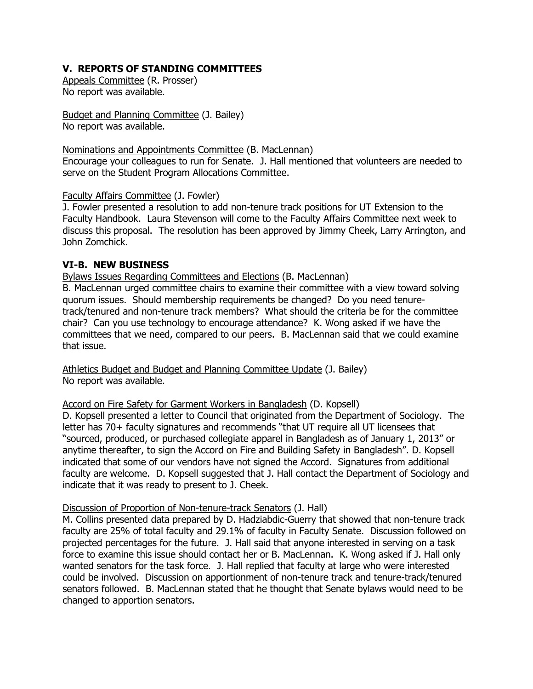## **V. REPORTS OF STANDING COMMITTEES**

Appeals Committee (R. Prosser) No report was available.

Budget and Planning Committee (J. Bailey) No report was available.

### Nominations and Appointments Committee (B. MacLennan)

Encourage your colleagues to run for Senate. J. Hall mentioned that volunteers are needed to serve on the Student Program Allocations Committee.

### Faculty Affairs Committee (J. Fowler)

J. Fowler presented a resolution to add non-tenure track positions for UT Extension to the Faculty Handbook. Laura Stevenson will come to the Faculty Affairs Committee next week to discuss this proposal. The resolution has been approved by Jimmy Cheek, Larry Arrington, and John Zomchick.

## **VI-B. NEW BUSINESS**

Bylaws Issues Regarding Committees and Elections (B. MacLennan)

B. MacLennan urged committee chairs to examine their committee with a view toward solving quorum issues. Should membership requirements be changed? Do you need tenuretrack/tenured and non-tenure track members? What should the criteria be for the committee chair? Can you use technology to encourage attendance? K. Wong asked if we have the committees that we need, compared to our peers. B. MacLennan said that we could examine that issue.

Athletics Budget and Budget and Planning Committee Update (J. Bailey) No report was available.

## Accord on Fire Safety for Garment Workers in Bangladesh (D. Kopsell)

D. Kopsell presented a letter to Council that originated from the Department of Sociology. The letter has 70+ faculty signatures and recommends "that UT require all UT licensees that "sourced, produced, or purchased collegiate apparel in Bangladesh as of January 1, 2013" or anytime thereafter, to sign the Accord on Fire and Building Safety in Bangladesh". D. Kopsell indicated that some of our vendors have not signed the Accord. Signatures from additional faculty are welcome. D. Kopsell suggested that J. Hall contact the Department of Sociology and indicate that it was ready to present to J. Cheek.

### Discussion of Proportion of Non-tenure-track Senators (J. Hall)

M. Collins presented data prepared by D. Hadziabdic-Guerry that showed that non-tenure track faculty are 25% of total faculty and 29.1% of faculty in Faculty Senate. Discussion followed on projected percentages for the future. J. Hall said that anyone interested in serving on a task force to examine this issue should contact her or B. MacLennan. K. Wong asked if J. Hall only wanted senators for the task force. J. Hall replied that faculty at large who were interested could be involved. Discussion on apportionment of non-tenure track and tenure-track/tenured senators followed. B. MacLennan stated that he thought that Senate bylaws would need to be changed to apportion senators.